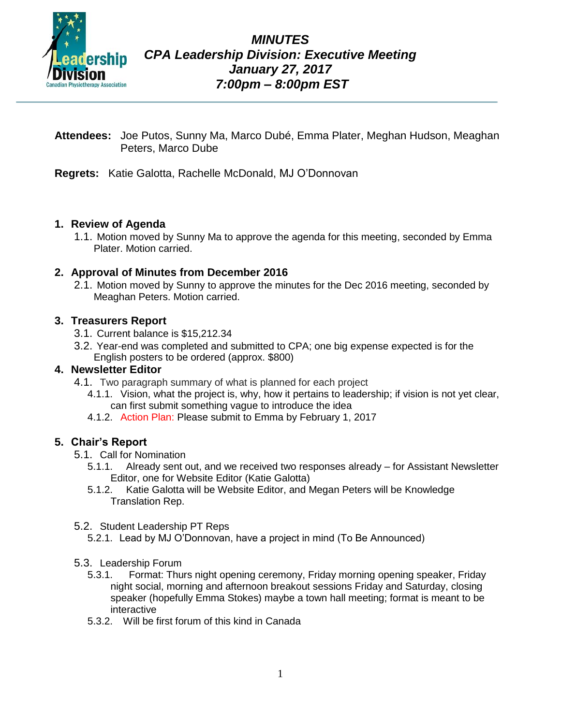

- **Attendees:** Joe Putos, Sunny Ma, Marco Dubé, Emma Plater, Meghan Hudson, Meaghan Peters, Marco Dube
- **Regrets:** Katie Galotta, Rachelle McDonald, MJ O'Donnovan

#### **1. Review of Agenda**

1.1. Motion moved by Sunny Ma to approve the agenda for this meeting, seconded by Emma Plater. Motion carried.

#### **2. Approval of Minutes from December 2016**

2.1. Motion moved by Sunny to approve the minutes for the Dec 2016 meeting, seconded by Meaghan Peters. Motion carried.

#### **3. Treasurers Report**

- 3.1. Current balance is \$15,212.34
- 3.2. Year-end was completed and submitted to CPA; one big expense expected is for the English posters to be ordered (approx. \$800)

#### **4. Newsletter Editor**

- 4.1. Two paragraph summary of what is planned for each project
	- 4.1.1. Vision, what the project is, why, how it pertains to leadership; if vision is not yet clear, can first submit something vague to introduce the idea
	- 4.1.2. Action Plan: Please submit to Emma by February 1, 2017

#### **5. Chair's Report**

- 5.1. Call for Nomination
	- 5.1.1. Already sent out, and we received two responses already for Assistant Newsletter Editor, one for Website Editor (Katie Galotta)
	- 5.1.2. Katie Galotta will be Website Editor, and Megan Peters will be Knowledge Translation Rep.
- 5.2. Student Leadership PT Reps
	- 5.2.1. Lead by MJ O'Donnovan, have a project in mind (To Be Announced)
- 5.3. Leadership Forum
	- 5.3.1. Format: Thurs night opening ceremony, Friday morning opening speaker, Friday night social, morning and afternoon breakout sessions Friday and Saturday, closing speaker (hopefully Emma Stokes) maybe a town hall meeting; format is meant to be interactive
	- 5.3.2. Will be first forum of this kind in Canada